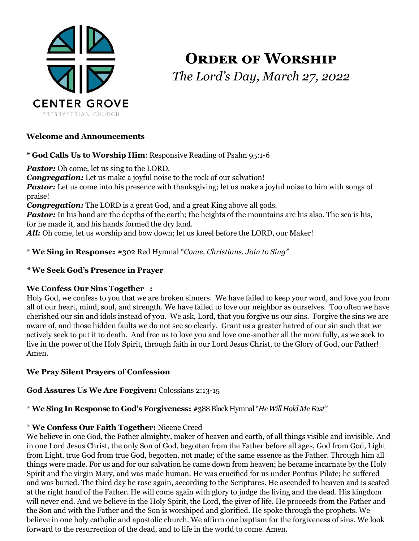

# **ORDER OF WORSHIP** *The Lord's Day, March 27, 2022*

## **Welcome and Announcements**

\* **God Calls Us to Worship Him**: Responsive Reading of Psalm 95:1-6

**Pastor:** Oh come, let us sing to the LORD.

*Congregation:* Let us make a joyful noise to the rock of our salvation!

*Pastor:* Let us come into his presence with thanksgiving; let us make a joyful noise to him with songs of praise!

*Congregation:* The LORD is a great God, and a great King above all gods.

**Pastor:** In his hand are the depths of the earth; the heights of the mountains are his also. The sea is his, for he made it, and his hands formed the dry land.

All: Oh come, let us worship and bow down; let us kneel before the LORD, our Maker!

\* **We Sing in Response:** #302 Red Hymnal "*Come, Christians, Join to Sing"*

## *\** **We Seek God's Presence in Prayer**

## **We Confess Our Sins Together :**

Holy God, we confess to you that we are broken sinners. We have failed to keep your word, and love you from all of our heart, mind, soul, and strength. We have failed to love our neighbor as ourselves. Too often we have cherished our sin and idols instead of you. We ask, Lord, that you forgive us our sins. Forgive the sins we are aware of, and those hidden faults we do not see so clearly. Grant us a greater hatred of our sin such that we actively seek to put it to death. And free us to love you and love one-another all the more fully, as we seek to live in the power of the Holy Spirit, through faith in our Lord Jesus Christ, to the Glory of God, our Father! Amen.

## **We Pray Silent Prayers of Confession**

**God Assures Us We Are Forgiven:** Colossians 2:13-15

\* **We Sing In Response to God's Forgiveness:** #388 Black Hymnal "*He Will Hold Me Fast"*

## \* **We Confess Our Faith Together:** Nicene Creed

We believe in one God, the Father almighty, maker of heaven and earth, of all things visible and invisible. And in one Lord Jesus Christ, the only Son of God, begotten from the Father before all ages, God from God, Light from Light, true God from true God, begotten, not made; of the same essence as the Father. Through him all things were made. For us and for our salvation he came down from heaven; he became incarnate by the Holy Spirit and the virgin Mary, and was made human. He was crucified for us under Pontius Pilate; he suffered and was buried. The third day he rose again, according to the Scriptures. He ascended to heaven and is seated at the right hand of the Father. He will come again with glory to judge the living and the dead. His kingdom will never end. And we believe in the Holy Spirit, the Lord, the giver of life. He proceeds from the Father and the Son and with the Father and the Son is worshiped and glorified. He spoke through the prophets. We believe in one holy catholic and apostolic church. We affirm one baptism for the forgiveness of sins. We look forward to the resurrection of the dead, and to life in the world to come. Amen.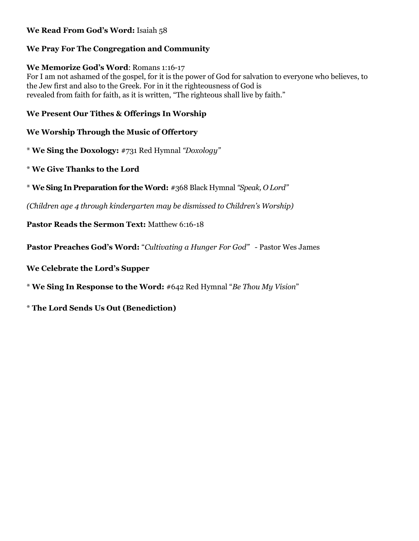## **We Read From God's Word:** Isaiah 58

## **We Pray For The Congregation and Community**

#### **We Memorize God's Word**: Romans 1:16-17

For I am not ashamed of the gospel, for it is the power of God for salvation to everyone who believes, to the Jew first and also to the Greek. For in it the righteousness of God is revealed from faith for faith, as it is written, "The righteous shall live by faith."

#### **We Present Our Tithes & Offerings In Worship**

## **We Worship Through the Music of Offertory**

\* **We Sing the Doxology:** #731 Red Hymnal *"Doxology"*

- \* **We Give Thanks to the Lord**
- \* **We Sing In Preparation for the Word:** #368 Black Hymnal *"Speak, O Lord"*

*(Children age 4 through kindergarten may be dismissed to Children's Worship)*

**Pastor Reads the Sermon Text:** Matthew 6:16-18

**Pastor Preaches God's Word:** "*Cultivating a Hunger For God" -* Pastor Wes James

**We Celebrate the Lord's Supper** 

\* **We Sing In Response to the Word:** #642 Red Hymnal "*Be Thou My Vision*"

\* **The Lord Sends Us Out (Benediction)**